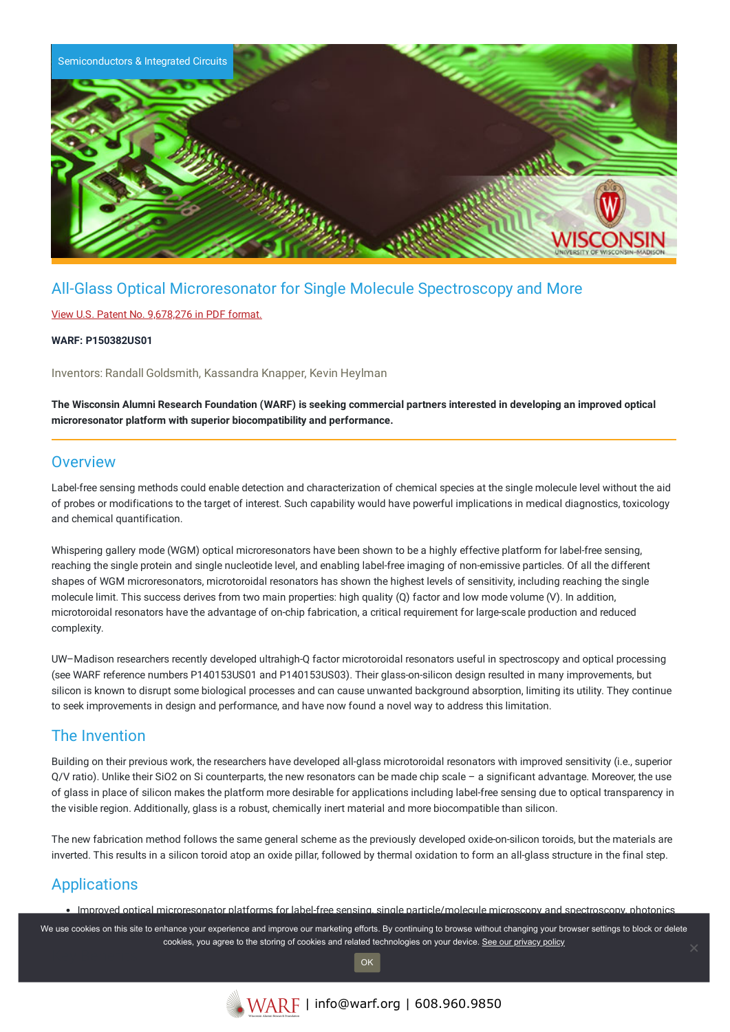

# All-Glass Optical Microresonator for Single Molecule Spectroscopy and More

### View U.S. Patent No. [9,678,276](https://www.warf.org/wp-content/uploads/technologies/ipstatus/P150382US01.pdf) in PDF format.

#### **WARF: P150382US01**

Inventors: Randall Goldsmith, Kassandra Knapper, Kevin Heylman

The Wisconsin Alumni Research Foundation (WARF) is seeking commercial partners interested in developing an improved optical **microresonator platform with superior biocompatibility and performance.**

### **Overview**

Label-free sensing methods could enable detection and characterization of chemical species at the single molecule level without the aid of probes or modifications to the target of interest. Such capability would have powerful implications in medical diagnostics, toxicology and chemical quantification.

Whispering gallery mode (WGM) optical microresonators have been shown to be a highly effective platform for label-free sensing, reaching the single protein and single nucleotide level, and enabling label-free imaging of non-emissive particles. Of all the different shapes of WGM microresonators, microtoroidal resonators has shown the highest levels of sensitivity, including reaching the single molecule limit. This success derives from two main properties: high quality (Q) factor and low mode volume (V). In addition, microtoroidal resonators have the advantage of on-chip fabrication, a critical requirement for large-scale production and reduced complexity.

UW–Madison researchers recently developed ultrahigh-Q factor microtoroidal resonators useful in spectroscopy and optical processing (see WARF reference numbers P140153US01 and P140153US03). Their glass-on-silicon design resulted in many improvements, but silicon is known to disrupt some biological processes and can cause unwanted background absorption, limiting its utility. They continue to seek improvements in design and performance, and have now found a novel way to address this limitation.

### The Invention

Building on their previous work, the researchers have developed all-glass microtoroidal resonators with improved sensitivity (i.e., superior Q/V ratio). Unlike their SiO2 on Si counterparts, the new resonators can be made chip scale – a significant advantage. Moreover, the use of glass in place of silicon makes the platform more desirable for applications including label-free sensing due to optical transparency in the visible region. Additionally, glass is a robust, chemically inert material and more biocompatible than silicon.

The new fabrication method follows the same general scheme as the previously developed oxide-on-silicon toroids, but the materials are inverted. This results in a silicon toroid atop an oxide pillar, followed by thermal oxidation to form an all-glass structure in the final step.

# Applications

Improved optical microresonator platforms for label-free sensing, single particle/molecule microscopy and spectroscopy, photonics

We use cookies on this site to enhance your experience and improve our marketing efforts. By continuing to browse without changing your browser settings to block or delete cookies, you agree to the storing of cookies and related technologies on your device. [See our privacy policy](https://www.warf.org/privacy-policy/)